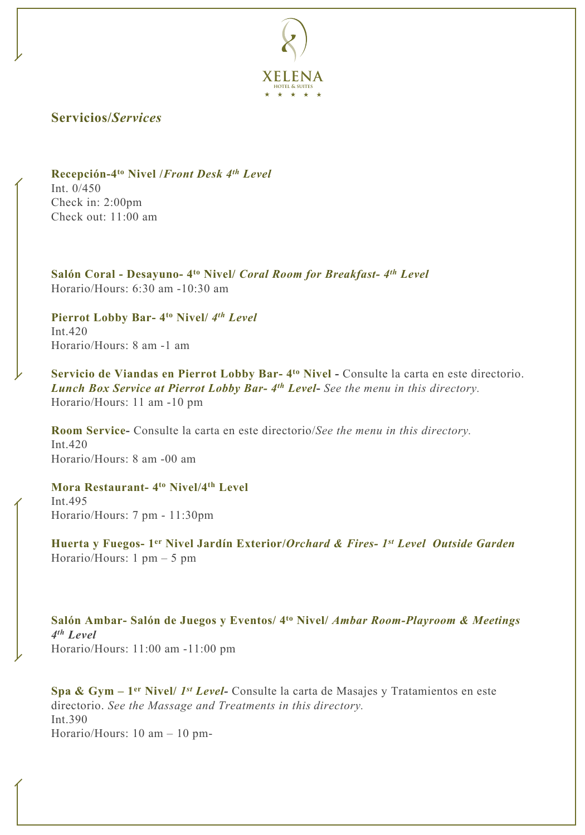

## **Servicios/***Services*

**Recepción-4to Nivel /***Front Desk 4th Level* Int. 0/450 Check in: 2:00pm Check out: 11:00 am

**Salón Coral - Desayuno- 4to Nivel/** *Coral Room for Breakfast- 4th Level* Horario/Hours: 6:30 am -10:30 am

**Pierrot Lobby Bar- 4to Nivel/** *4 th Level* Int.420 Horario/Hours: 8 am -1 am

**Servicio de Viandas en Pierrot Lobby Bar- 4to Nivel -** Consulte la carta en este directorio. *Lunch Box Service at Pierrot Lobby Bar- 4th Level***-** *See the menu in this directory.* Horario/Hours: 11 am -10 pm

**Room Service-** Consulte la carta en este directorio/*See the menu in this directory.* Int.420 Horario/Hours: 8 am -00 am

**Mora Restaurant- 4to Nivel/4th Level** Int.495 Horario/Hours: 7 pm - 11:30pm

**Huerta y Fuegos- 1er Nivel Jardín Exterior/***Orchard & Fires- 1st Level Outside Garden* Horario/Hours: 1 pm – 5 pm

**Salón Ambar- Salón de Juegos y Eventos/ 4to Nivel/** *Ambar Room-Playroom & Meetings 4 th Level* Horario/Hours: 11:00 am -11:00 pm

**Spa & Gym – 1er Nivel/** *1 st Level-* Consulte la carta de Masajes y Tratamientos en este directorio. *See the Massage and Treatments in this directory.* Int.390 Horario/Hours: 10 am – 10 pm-